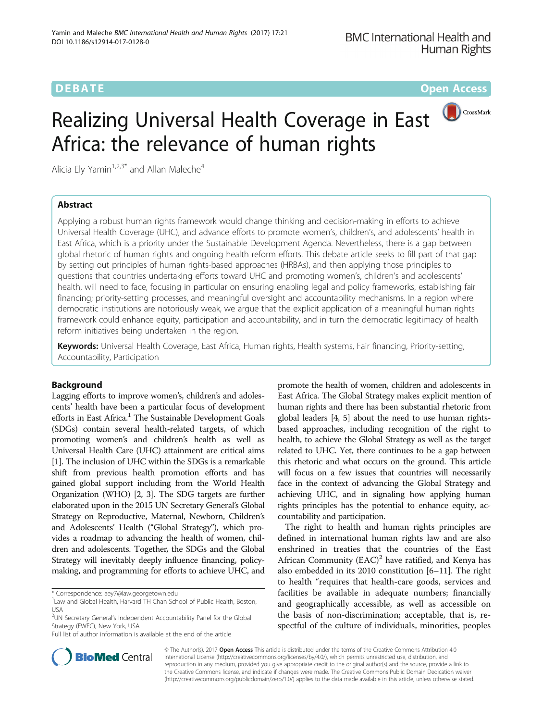**DEBATE CONSERVATION CONSERVATION** 

CrossMark

# Realizing Universal Health Coverage in East Africa: the relevance of human rights

Alicia Ely Yamin<sup>1,2,3\*</sup> and Allan Maleche<sup>4</sup>

# Abstract

Applying a robust human rights framework would change thinking and decision-making in efforts to achieve Universal Health Coverage (UHC), and advance efforts to promote women's, children's, and adolescents' health in East Africa, which is a priority under the Sustainable Development Agenda. Nevertheless, there is a gap between global rhetoric of human rights and ongoing health reform efforts. This debate article seeks to fill part of that gap by setting out principles of human rights-based approaches (HRBAs), and then applying those principles to questions that countries undertaking efforts toward UHC and promoting women's, children's and adolescents' health, will need to face, focusing in particular on ensuring enabling legal and policy frameworks, establishing fair financing; priority-setting processes, and meaningful oversight and accountability mechanisms. In a region where democratic institutions are notoriously weak, we argue that the explicit application of a meaningful human rights framework could enhance equity, participation and accountability, and in turn the democratic legitimacy of health reform initiatives being undertaken in the region.

Keywords: Universal Health Coverage, East Africa, Human rights, Health systems, Fair financing, Priority-setting, Accountability, Participation

# Background

Lagging efforts to improve women's, children's and adolescents' health have been a particular focus of development efforts in East Africa.<sup>1</sup> The Sustainable Development Goals (SDGs) contain several health-related targets, of which promoting women's and children's health as well as Universal Health Care (UHC) attainment are critical aims [[1](#page-7-0)]. The inclusion of UHC within the SDGs is a remarkable shift from previous health promotion efforts and has gained global support including from the World Health Organization (WHO) [\[2, 3](#page-7-0)]. The SDG targets are further elaborated upon in the 2015 UN Secretary General's Global Strategy on Reproductive, Maternal, Newborn, Children's and Adolescents' Health ("Global Strategy"), which provides a roadmap to advancing the health of women, children and adolescents. Together, the SDGs and the Global Strategy will inevitably deeply influence financing, policymaking, and programming for efforts to achieve UHC, and

\* Correspondence: [aey7@law.georgetown.edu](mailto:aey7@law.georgetown.edu) <sup>1</sup>

Full list of author information is available at the end of the article

promote the health of women, children and adolescents in East Africa. The Global Strategy makes explicit mention of human rights and there has been substantial rhetoric from global leaders [\[4, 5](#page-7-0)] about the need to use human rightsbased approaches, including recognition of the right to health, to achieve the Global Strategy as well as the target related to UHC. Yet, there continues to be a gap between this rhetoric and what occurs on the ground. This article will focus on a few issues that countries will necessarily face in the context of advancing the Global Strategy and achieving UHC, and in signaling how applying human rights principles has the potential to enhance equity, accountability and participation.

The right to health and human rights principles are defined in international human rights law and are also enshrined in treaties that the countries of the East African Community  $(EAC)^2$  have ratified, and Kenya has also embedded in its 2010 constitution [[6](#page-7-0)–[11](#page-7-0)]. The right to health "requires that health-care goods, services and facilities be available in adequate numbers; financially and geographically accessible, as well as accessible on the basis of non-discrimination; acceptable, that is, respectful of the culture of individuals, minorities, peoples



© The Author(s). 2017 **Open Access** This article is distributed under the terms of the Creative Commons Attribution 4.0 International License [\(http://creativecommons.org/licenses/by/4.0/](http://creativecommons.org/licenses/by/4.0/)), which permits unrestricted use, distribution, and reproduction in any medium, provided you give appropriate credit to the original author(s) and the source, provide a link to the Creative Commons license, and indicate if changes were made. The Creative Commons Public Domain Dedication waiver [\(http://creativecommons.org/publicdomain/zero/1.0/](http://creativecommons.org/publicdomain/zero/1.0/)) applies to the data made available in this article, unless otherwise stated.

<sup>&</sup>lt;sup>1</sup> Law and Global Health, Harvard TH Chan School of Public Health, Boston, USA

<sup>&</sup>lt;sup>2</sup>UN Secretary General's Independent Accountability Panel for the Global Strategy (EWEC), New York, USA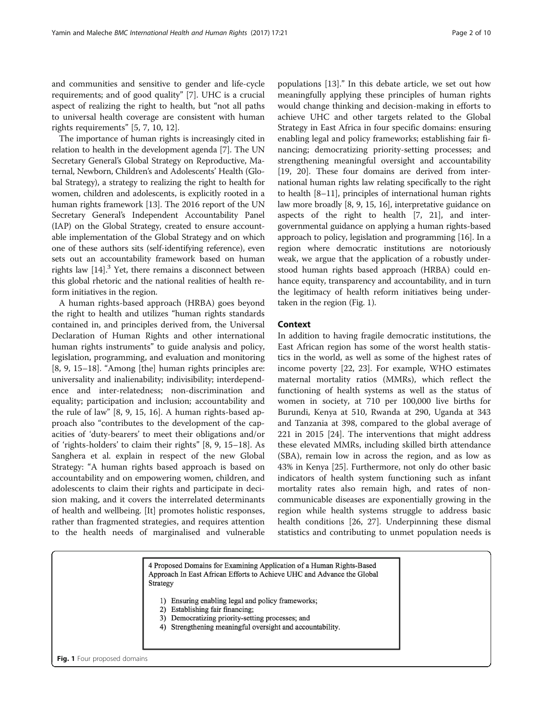and communities and sensitive to gender and life-cycle requirements; and of good quality" [\[7](#page-7-0)]. UHC is a crucial aspect of realizing the right to health, but "not all paths to universal health coverage are consistent with human rights requirements" [[5, 7, 10, 12\]](#page-7-0).

The importance of human rights is increasingly cited in relation to health in the development agenda [\[7](#page-7-0)]. The UN Secretary General's Global Strategy on Reproductive, Maternal, Newborn, Children's and Adolescents' Health (Global Strategy), a strategy to realizing the right to health for women, children and adolescents, is explicitly rooted in a human rights framework [\[13\]](#page-7-0). The 2016 report of the UN Secretary General's Independent Accountability Panel (IAP) on the Global Strategy, created to ensure accountable implementation of the Global Strategy and on which one of these authors sits (self-identifying reference), even sets out an accountability framework based on human rights law  $[14]$ .<sup>3</sup> Yet, there remains a disconnect between this global rhetoric and the national realities of health reform initiatives in the region.

A human rights-based approach (HRBA) goes beyond the right to health and utilizes "human rights standards contained in, and principles derived from, the Universal Declaration of Human Rights and other international human rights instruments" to guide analysis and policy, legislation, programming, and evaluation and monitoring [[8, 9](#page-7-0), [15](#page-7-0)–[18](#page-7-0)]. "Among [the] human rights principles are: universality and inalienability; indivisibility; interdependence and inter-relatedness; non-discrimination and equality; participation and inclusion; accountability and the rule of law" [\[8](#page-7-0), [9, 15, 16](#page-7-0)]. A human rights-based approach also "contributes to the development of the capacities of 'duty-bearers' to meet their obligations and/or of 'rights-holders' to claim their rights" [\[8](#page-7-0), [9](#page-7-0), [15](#page-7-0)–[18](#page-7-0)]. As Sanghera et al. explain in respect of the new Global Strategy: "A human rights based approach is based on accountability and on empowering women, children, and adolescents to claim their rights and participate in decision making, and it covers the interrelated determinants of health and wellbeing. [It] promotes holistic responses, rather than fragmented strategies, and requires attention to the health needs of marginalised and vulnerable

populations [\[13](#page-7-0)]." In this debate article, we set out how meaningfully applying these principles of human rights would change thinking and decision-making in efforts to achieve UHC and other targets related to the Global Strategy in East Africa in four specific domains: ensuring enabling legal and policy frameworks; establishing fair financing; democratizing priority-setting processes; and strengthening meaningful oversight and accountability [[19, 20\]](#page-7-0). These four domains are derived from international human rights law relating specifically to the right to health [\[8](#page-7-0)–[11\]](#page-7-0), principles of international human rights law more broadly [\[8, 9, 15](#page-7-0), [16](#page-7-0)], interpretative guidance on aspects of the right to health [\[7](#page-7-0), [21\]](#page-7-0), and intergovernmental guidance on applying a human rights-based approach to policy, legislation and programming [\[16\]](#page-7-0). In a region where democratic institutions are notoriously weak, we argue that the application of a robustly understood human rights based approach (HRBA) could enhance equity, transparency and accountability, and in turn the legitimacy of health reform initiatives being undertaken in the region (Fig. 1).

## Context

In addition to having fragile democratic institutions, the East African region has some of the worst health statistics in the world, as well as some of the highest rates of income poverty [[22, 23](#page-7-0)]. For example, WHO estimates maternal mortality ratios (MMRs), which reflect the functioning of health systems as well as the status of women in society, at 710 per 100,000 live births for Burundi, Kenya at 510, Rwanda at 290, Uganda at 343 and Tanzania at 398, compared to the global average of 221 in 2015 [\[24](#page-7-0)]. The interventions that might address these elevated MMRs, including skilled birth attendance (SBA), remain low in across the region, and as low as 43% in Kenya [\[25\]](#page-7-0). Furthermore, not only do other basic indicators of health system functioning such as infant mortality rates also remain high, and rates of noncommunicable diseases are exponentially growing in the region while health systems struggle to address basic health conditions [\[26, 27\]](#page-7-0). Underpinning these dismal statistics and contributing to unmet population needs is

4 Proposed Domains for Examining Application of a Human Rights-Based Approach In East African Efforts to Achieve UHC and Advance the Global Strategy Ensuring enabling legal and policy frameworks; 1)  $2)$ Establishing fair financing; 3) Democratizing priority-setting processes; and 4) Strengthening meaningful oversight and accountability. Fig. 1 Four proposed domains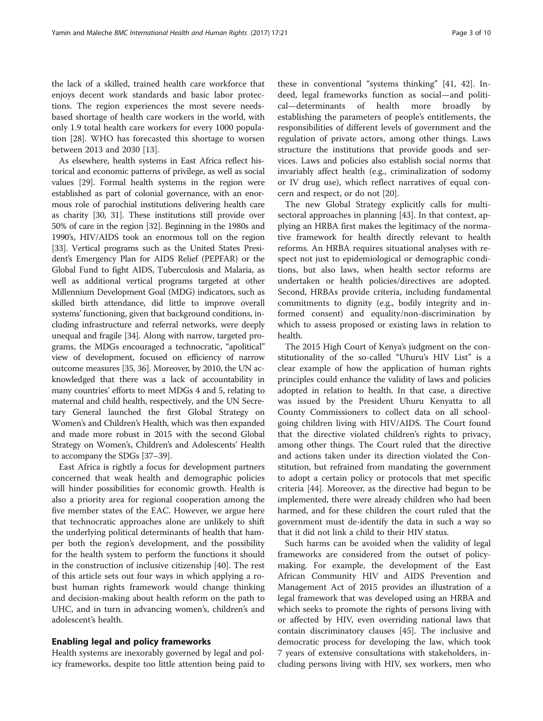the lack of a skilled, trained health care workforce that enjoys decent work standards and basic labor protections. The region experiences the most severe needsbased shortage of health care workers in the world, with only 1.9 total health care workers for every 1000 population [\[28\]](#page-7-0). WHO has forecasted this shortage to worsen between 2013 and 2030 [[13\]](#page-7-0).

As elsewhere, health systems in East Africa reflect historical and economic patterns of privilege, as well as social values [\[29](#page-7-0)]. Formal health systems in the region were established as part of colonial governance, with an enormous role of parochial institutions delivering health care as charity [[30](#page-7-0), [31](#page-7-0)]. These institutions still provide over 50% of care in the region [\[32\]](#page-7-0). Beginning in the 1980s and 1990's, HIV/AIDS took an enormous toll on the region [[33](#page-8-0)]. Vertical programs such as the United States President's Emergency Plan for AIDS Relief (PEPFAR) or the Global Fund to fight AIDS, Tuberculosis and Malaria, as well as additional vertical programs targeted at other Millennium Development Goal (MDG) indicators, such as skilled birth attendance, did little to improve overall systems' functioning, given that background conditions, including infrastructure and referral networks, were deeply unequal and fragile [[34](#page-8-0)]. Along with narrow, targeted programs, the MDGs encouraged a technocratic, "apolitical" view of development, focused on efficiency of narrow outcome measures [[35](#page-8-0), [36](#page-8-0)]. Moreover, by 2010, the UN acknowledged that there was a lack of accountability in many countries' efforts to meet MDGs 4 and 5, relating to maternal and child health, respectively, and the UN Secretary General launched the first Global Strategy on Women's and Children's Health, which was then expanded and made more robust in 2015 with the second Global Strategy on Women's, Children's and Adolescents' Health to accompany the SDGs [\[37](#page-8-0)–[39](#page-8-0)].

East Africa is rightly a focus for development partners concerned that weak health and demographic policies will hinder possibilities for economic growth. Health is also a priority area for regional cooperation among the five member states of the EAC. However, we argue here that technocratic approaches alone are unlikely to shift the underlying political determinants of health that hamper both the region's development, and the possibility for the health system to perform the functions it should in the construction of inclusive citizenship [\[40\]](#page-8-0). The rest of this article sets out four ways in which applying a robust human rights framework would change thinking and decision-making about health reform on the path to UHC, and in turn in advancing women's, children's and adolescent's health.

### Enabling legal and policy frameworks

Health systems are inexorably governed by legal and policy frameworks, despite too little attention being paid to

these in conventional "systems thinking" [[41](#page-8-0), [42\]](#page-8-0). Indeed, legal frameworks function as social—and political—determinants of health more broadly by establishing the parameters of people's entitlements, the responsibilities of different levels of government and the regulation of private actors, among other things. Laws structure the institutions that provide goods and services. Laws and policies also establish social norms that invariably affect health (e.g., criminalization of sodomy or IV drug use), which reflect narratives of equal concern and respect, or do not [[20\]](#page-7-0).

The new Global Strategy explicitly calls for multisectoral approaches in planning [[43\]](#page-8-0). In that context, applying an HRBA first makes the legitimacy of the normative framework for health directly relevant to health reforms. An HRBA requires situational analyses with respect not just to epidemiological or demographic conditions, but also laws, when health sector reforms are undertaken or health policies/directives are adopted. Second, HRBAs provide criteria, including fundamental commitments to dignity (e.g., bodily integrity and informed consent) and equality/non-discrimination by which to assess proposed or existing laws in relation to health.

The 2015 High Court of Kenya's judgment on the constitutionality of the so-called "Uhuru's HIV List" is a clear example of how the application of human rights principles could enhance the validity of laws and policies adopted in relation to health. In that case, a directive was issued by the President Uhuru Kenyatta to all County Commissioners to collect data on all schoolgoing children living with HIV/AIDS. The Court found that the directive violated children's rights to privacy, among other things. The Court ruled that the directive and actions taken under its direction violated the Constitution, but refrained from mandating the government to adopt a certain policy or protocols that met specific criteria [\[44](#page-8-0)]. Moreover, as the directive had begun to be implemented, there were already children who had been harmed, and for these children the court ruled that the government must de-identify the data in such a way so that it did not link a child to their HIV status.

Such harms can be avoided when the validity of legal frameworks are considered from the outset of policymaking. For example, the development of the East African Community HIV and AIDS Prevention and Management Act of 2015 provides an illustration of a legal framework that was developed using an HRBA and which seeks to promote the rights of persons living with or affected by HIV, even overriding national laws that contain discriminatory clauses [\[45](#page-8-0)]. The inclusive and democratic process for developing the law, which took 7 years of extensive consultations with stakeholders, including persons living with HIV, sex workers, men who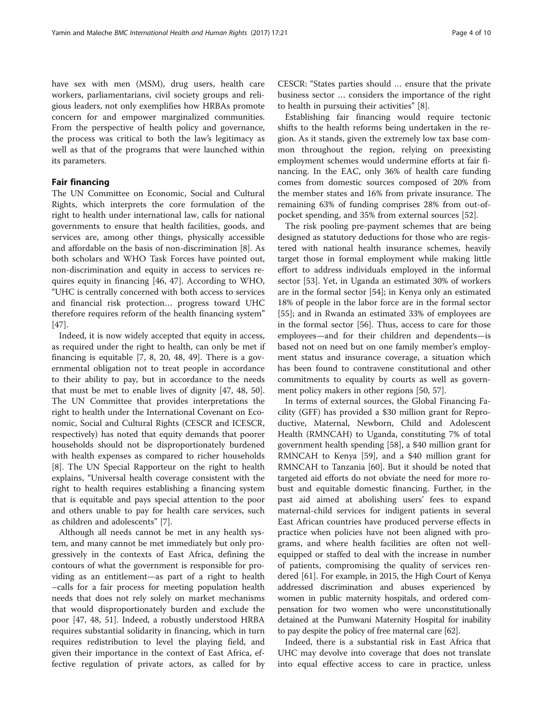have sex with men (MSM), drug users, health care workers, parliamentarians, civil society groups and religious leaders, not only exemplifies how HRBAs promote concern for and empower marginalized communities. From the perspective of health policy and governance, the process was critical to both the law's legitimacy as well as that of the programs that were launched within its parameters.

# Fair financing

The UN Committee on Economic, Social and Cultural Rights, which interprets the core formulation of the right to health under international law, calls for national governments to ensure that health facilities, goods, and services are, among other things, physically accessible and affordable on the basis of non-discrimination [\[8](#page-7-0)]. As both scholars and WHO Task Forces have pointed out, non-discrimination and equity in access to services requires equity in financing [[46](#page-8-0), [47](#page-8-0)]. According to WHO, "UHC is centrally concerned with both access to services and financial risk protection… progress toward UHC therefore requires reform of the health financing system" [[47\]](#page-8-0).

Indeed, it is now widely accepted that equity in access, as required under the right to health, can only be met if financing is equitable [[7, 8, 20,](#page-7-0) [48, 49\]](#page-8-0). There is a governmental obligation not to treat people in accordance to their ability to pay, but in accordance to the needs that must be met to enable lives of dignity [[47, 48](#page-8-0), [50](#page-8-0)]. The UN Committee that provides interpretations the right to health under the International Covenant on Economic, Social and Cultural Rights (CESCR and ICESCR, respectively) has noted that equity demands that poorer households should not be disproportionately burdened with health expenses as compared to richer households [[8\]](#page-7-0). The UN Special Rapporteur on the right to health explains, "Universal health coverage consistent with the right to health requires establishing a financing system that is equitable and pays special attention to the poor and others unable to pay for health care services, such as children and adolescents" [[7\]](#page-7-0).

Although all needs cannot be met in any health system, and many cannot be met immediately but only progressively in the contexts of East Africa, defining the contours of what the government is responsible for providing as an entitlement—as part of a right to health –calls for a fair process for meeting population health needs that does not rely solely on market mechanisms that would disproportionately burden and exclude the poor [[47, 48, 51\]](#page-8-0). Indeed, a robustly understood HRBA requires substantial solidarity in financing, which in turn requires redistribution to level the playing field, and given their importance in the context of East Africa, effective regulation of private actors, as called for by CESCR: "States parties should … ensure that the private business sector … considers the importance of the right to health in pursuing their activities" [\[8](#page-7-0)].

Establishing fair financing would require tectonic shifts to the health reforms being undertaken in the region. As it stands, given the extremely low tax base common throughout the region, relying on preexisting employment schemes would undermine efforts at fair financing. In the EAC, only 36% of health care funding comes from domestic sources composed of 20% from the member states and 16% from private insurance. The remaining 63% of funding comprises 28% from out-ofpocket spending, and 35% from external sources [[52](#page-8-0)].

The risk pooling pre-payment schemes that are being designed as statutory deductions for those who are registered with national health insurance schemes, heavily target those in formal employment while making little effort to address individuals employed in the informal sector [[53\]](#page-8-0). Yet, in Uganda an estimated 30% of workers are in the formal sector [\[54\]](#page-8-0); in Kenya only an estimated 18% of people in the labor force are in the formal sector [[55\]](#page-8-0); and in Rwanda an estimated 33% of employees are in the formal sector [[56\]](#page-8-0). Thus, access to care for those employees—and for their children and dependents—is based not on need but on one family member's employment status and insurance coverage, a situation which has been found to contravene constitutional and other commitments to equality by courts as well as government policy makers in other regions [[50](#page-8-0), [57](#page-8-0)].

In terms of external sources, the Global Financing Facility (GFF) has provided a \$30 million grant for Reproductive, Maternal, Newborn, Child and Adolescent Health (RMNCAH) to Uganda, constituting 7% of total government health spending [[58](#page-8-0)], a \$40 million grant for RMNCAH to Kenya [\[59](#page-8-0)], and a \$40 million grant for RMNCAH to Tanzania [[60\]](#page-8-0). But it should be noted that targeted aid efforts do not obviate the need for more robust and equitable domestic financing. Further, in the past aid aimed at abolishing users' fees to expand maternal-child services for indigent patients in several East African countries have produced perverse effects in practice when policies have not been aligned with programs, and where health facilities are often not wellequipped or staffed to deal with the increase in number of patients, compromising the quality of services rendered [[61\]](#page-8-0). For example, in 2015, the High Court of Kenya addressed discrimination and abuses experienced by women in public maternity hospitals, and ordered compensation for two women who were unconstitutionally detained at the Pumwani Maternity Hospital for inability to pay despite the policy of free maternal care [\[62\]](#page-8-0).

Indeed, there is a substantial risk in East Africa that UHC may devolve into coverage that does not translate into equal effective access to care in practice, unless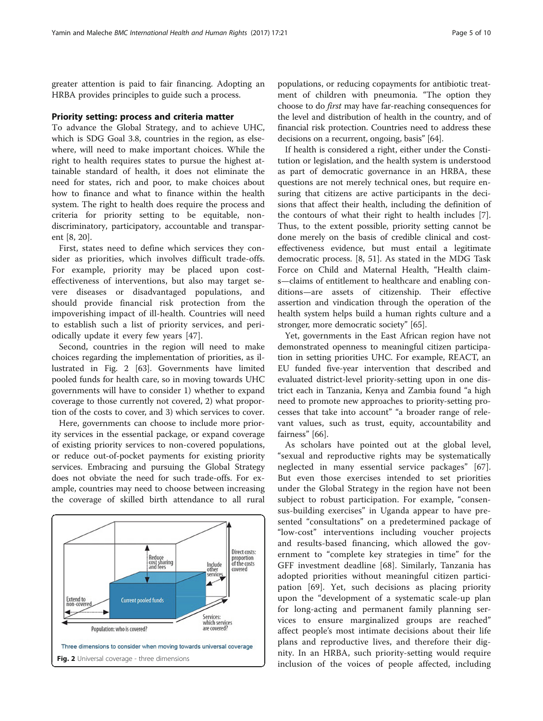greater attention is paid to fair financing. Adopting an HRBA provides principles to guide such a process.

#### Priority setting: process and criteria matter

To advance the Global Strategy, and to achieve UHC, which is SDG Goal 3.8, countries in the region, as elsewhere, will need to make important choices. While the right to health requires states to pursue the highest attainable standard of health, it does not eliminate the need for states, rich and poor, to make choices about how to finance and what to finance within the health system. The right to health does require the process and criteria for priority setting to be equitable, nondiscriminatory, participatory, accountable and transparent [[8, 20\]](#page-7-0).

First, states need to define which services they consider as priorities, which involves difficult trade-offs. For example, priority may be placed upon costeffectiveness of interventions, but also may target severe diseases or disadvantaged populations, and should provide financial risk protection from the impoverishing impact of ill-health. Countries will need to establish such a list of priority services, and periodically update it every few years [[47\]](#page-8-0).

Second, countries in the region will need to make choices regarding the implementation of priorities, as illustrated in Fig. 2 [\[63](#page-8-0)]. Governments have limited pooled funds for health care, so in moving towards UHC governments will have to consider 1) whether to expand coverage to those currently not covered, 2) what proportion of the costs to cover, and 3) which services to cover.

Here, governments can choose to include more priority services in the essential package, or expand coverage of existing priority services to non-covered populations, or reduce out-of-pocket payments for existing priority services. Embracing and pursuing the Global Strategy does not obviate the need for such trade-offs. For example, countries may need to choose between increasing the coverage of skilled birth attendance to all rural



populations, or reducing copayments for antibiotic treatment of children with pneumonia. "The option they choose to do first may have far-reaching consequences for the level and distribution of health in the country, and of financial risk protection. Countries need to address these decisions on a recurrent, ongoing, basis" [[64](#page-8-0)].

If health is considered a right, either under the Constitution or legislation, and the health system is understood as part of democratic governance in an HRBA, these questions are not merely technical ones, but require ensuring that citizens are active participants in the decisions that affect their health, including the definition of the contours of what their right to health includes [\[7](#page-7-0)]. Thus, to the extent possible, priority setting cannot be done merely on the basis of credible clinical and costeffectiveness evidence, but must entail a legitimate democratic process. [\[8](#page-7-0), [51\]](#page-8-0). As stated in the MDG Task Force on Child and Maternal Health, "Health claims—claims of entitlement to healthcare and enabling conditions—are assets of citizenship. Their effective assertion and vindication through the operation of the health system helps build a human rights culture and a stronger, more democratic society" [\[65](#page-8-0)].

Yet, governments in the East African region have not demonstrated openness to meaningful citizen participation in setting priorities UHC. For example, REACT, an EU funded five-year intervention that described and evaluated district-level priority-setting upon in one district each in Tanzania, Kenya and Zambia found "a high need to promote new approaches to priority-setting processes that take into account" "a broader range of relevant values, such as trust, equity, accountability and fairness" [\[66](#page-8-0)].

As scholars have pointed out at the global level, "sexual and reproductive rights may be systematically neglected in many essential service packages" [\[67](#page-8-0)]. But even those exercises intended to set priorities under the Global Strategy in the region have not been subject to robust participation. For example, "consensus-building exercises" in Uganda appear to have presented "consultations" on a predetermined package of "low-cost" interventions including voucher projects and results-based financing, which allowed the government to "complete key strategies in time" for the GFF investment deadline [[68](#page-8-0)]. Similarly, Tanzania has adopted priorities without meaningful citizen participation [[69\]](#page-8-0). Yet, such decisions as placing priority upon the "development of a systematic scale-up plan for long-acting and permanent family planning services to ensure marginalized groups are reached" affect people's most intimate decisions about their life plans and reproductive lives, and therefore their dignity. In an HRBA, such priority-setting would require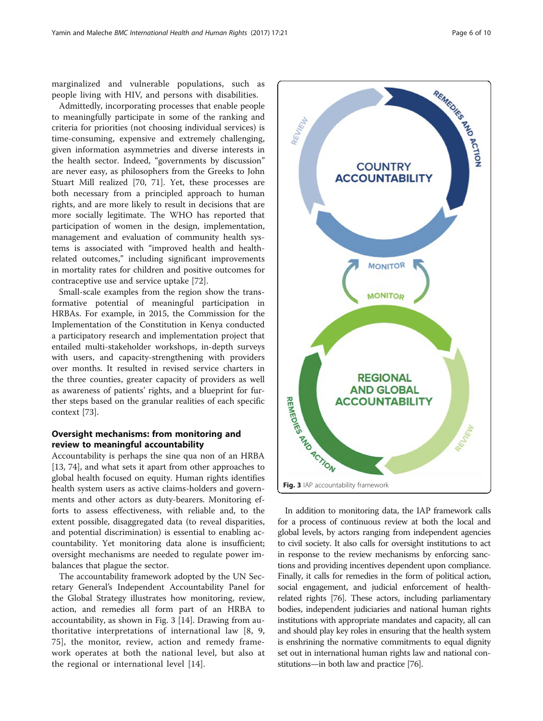marginalized and vulnerable populations, such as people living with HIV, and persons with disabilities.

Admittedly, incorporating processes that enable people to meaningfully participate in some of the ranking and criteria for priorities (not choosing individual services) is time-consuming, expensive and extremely challenging, given information asymmetries and diverse interests in the health sector. Indeed, "governments by discussion" are never easy, as philosophers from the Greeks to John Stuart Mill realized [[70, 71\]](#page-8-0). Yet, these processes are both necessary from a principled approach to human rights, and are more likely to result in decisions that are more socially legitimate. The WHO has reported that participation of women in the design, implementation, management and evaluation of community health systems is associated with "improved health and healthrelated outcomes," including significant improvements in mortality rates for children and positive outcomes for contraceptive use and service uptake [\[72](#page-8-0)].

Small-scale examples from the region show the transformative potential of meaningful participation in HRBAs. For example, in 2015, the Commission for the Implementation of the Constitution in Kenya conducted a participatory research and implementation project that entailed multi-stakeholder workshops, in-depth surveys with users, and capacity-strengthening with providers over months. It resulted in revised service charters in the three counties, greater capacity of providers as well as awareness of patients' rights, and a blueprint for further steps based on the granular realities of each specific context [\[73](#page-8-0)].

# Oversight mechanisms: from monitoring and review to meaningful accountability

Accountability is perhaps the sine qua non of an HRBA [[13,](#page-7-0) [74\]](#page-8-0), and what sets it apart from other approaches to global health focused on equity. Human rights identifies health system users as active claims-holders and governments and other actors as duty-bearers. Monitoring efforts to assess effectiveness, with reliable and, to the extent possible, disaggregated data (to reveal disparities, and potential discrimination) is essential to enabling accountability. Yet monitoring data alone is insufficient; oversight mechanisms are needed to regulate power imbalances that plague the sector.

The accountability framework adopted by the UN Secretary General's Independent Accountability Panel for the Global Strategy illustrates how monitoring, review, action, and remedies all form part of an HRBA to accountability, as shown in Fig. 3 [\[14](#page-7-0)]. Drawing from authoritative interpretations of international law [\[8, 9](#page-7-0), [75\]](#page-8-0), the monitor, review, action and remedy framework operates at both the national level, but also at the regional or international level [[14\]](#page-7-0).



In addition to monitoring data, the IAP framework calls for a process of continuous review at both the local and global levels, by actors ranging from independent agencies to civil society. It also calls for oversight institutions to act in response to the review mechanisms by enforcing sanctions and providing incentives dependent upon compliance. Finally, it calls for remedies in the form of political action, social engagement, and judicial enforcement of healthrelated rights [[76](#page-8-0)]. These actors, including parliamentary bodies, independent judiciaries and national human rights institutions with appropriate mandates and capacity, all can and should play key roles in ensuring that the health system is enshrining the normative commitments to equal dignity set out in international human rights law and national constitutions—in both law and practice [[76](#page-8-0)].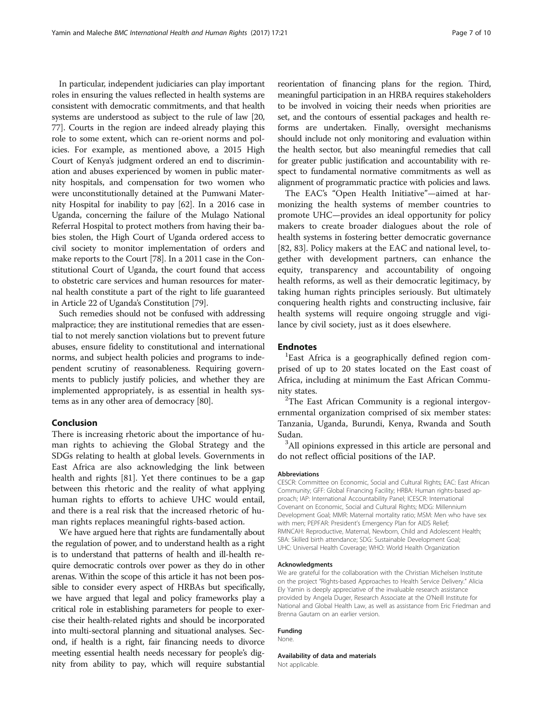In particular, independent judiciaries can play important roles in ensuring the values reflected in health systems are consistent with democratic commitments, and that health systems are understood as subject to the rule of law [[20](#page-7-0), [77](#page-8-0)]. Courts in the region are indeed already playing this role to some extent, which can re-orient norms and policies. For example, as mentioned above, a 2015 High Court of Kenya's judgment ordered an end to discrimination and abuses experienced by women in public maternity hospitals, and compensation for two women who were unconstitutionally detained at the Pumwani Maternity Hospital for inability to pay [\[62](#page-8-0)]. In a 2016 case in Uganda, concerning the failure of the Mulago National Referral Hospital to protect mothers from having their babies stolen, the High Court of Uganda ordered access to civil society to monitor implementation of orders and make reports to the Court [\[78\]](#page-8-0). In a 2011 case in the Constitutional Court of Uganda, the court found that access to obstetric care services and human resources for maternal health constitute a part of the right to life guaranteed in Article 22 of Uganda's Constitution [[79](#page-8-0)].

Such remedies should not be confused with addressing malpractice; they are institutional remedies that are essential to not merely sanction violations but to prevent future abuses, ensure fidelity to constitutional and international norms, and subject health policies and programs to independent scrutiny of reasonableness. Requiring governments to publicly justify policies, and whether they are implemented appropriately, is as essential in health systems as in any other area of democracy [[80](#page-8-0)].

### Conclusion

There is increasing rhetoric about the importance of human rights to achieving the Global Strategy and the SDGs relating to health at global levels. Governments in East Africa are also acknowledging the link between health and rights [[81\]](#page-8-0). Yet there continues to be a gap between this rhetoric and the reality of what applying human rights to efforts to achieve UHC would entail, and there is a real risk that the increased rhetoric of human rights replaces meaningful rights-based action.

We have argued here that rights are fundamentally about the regulation of power, and to understand health as a right is to understand that patterns of health and ill-health require democratic controls over power as they do in other arenas. Within the scope of this article it has not been possible to consider every aspect of HRBAs but specifically, we have argued that legal and policy frameworks play a critical role in establishing parameters for people to exercise their health-related rights and should be incorporated into multi-sectoral planning and situational analyses. Second, if health is a right, fair financing needs to divorce meeting essential health needs necessary for people's dignity from ability to pay, which will require substantial reorientation of financing plans for the region. Third, meaningful participation in an HRBA requires stakeholders to be involved in voicing their needs when priorities are set, and the contours of essential packages and health reforms are undertaken. Finally, oversight mechanisms should include not only monitoring and evaluation within the health sector, but also meaningful remedies that call for greater public justification and accountability with respect to fundamental normative commitments as well as alignment of programmatic practice with policies and laws.

The EAC's "Open Health Initiative"—aimed at harmonizing the health systems of member countries to promote UHC—provides an ideal opportunity for policy makers to create broader dialogues about the role of health systems in fostering better democratic governance [[82, 83\]](#page-9-0). Policy makers at the EAC and national level, together with development partners, can enhance the equity, transparency and accountability of ongoing health reforms, as well as their democratic legitimacy, by taking human rights principles seriously. But ultimately conquering health rights and constructing inclusive, fair health systems will require ongoing struggle and vigilance by civil society, just as it does elsewhere.

#### **Endnotes**

<sup>1</sup>East Africa is a geographically defined region comprised of up to 20 states located on the East coast of Africa, including at minimum the East African Community states. <sup>2</sup>

 $2$ The East African Community is a regional intergovernmental organization comprised of six member states: Tanzania, Uganda, Burundi, Kenya, Rwanda and South Sudan.

<sup>3</sup>All opinions expressed in this article are personal and do not reflect official positions of the IAP.

#### Abbreviations

CESCR: Committee on Economic, Social and Cultural Rights; EAC: East African Community; GFF: Global Financing Facility; HRBA: Human rights-based approach; IAP: International Accountability Panel; ICESCR: International Covenant on Economic, Social and Cultural Rights; MDG: Millennium Development Goal; MMR: Maternal mortality ratio; MSM: Men who have sex with men; PEPFAR: President's Emergency Plan for AIDS Relief; RMNCAH: Reproductive, Maternal, Newborn, Child and Adolescent Health; SBA: Skilled birth attendance; SDG: Sustainable Development Goal; UHC: Universal Health Coverage; WHO: World Health Organization

#### Acknowledgments

We are grateful for the collaboration with the Christian Michelsen Institute on the project "Rights-based Approaches to Health Service Delivery." Alicia Ely Yamin is deeply appreciative of the invaluable research assistance provided by Angela Duger, Research Associate at the O'Neill Institute for National and Global Health Law, as well as assistance from Eric Friedman and Brenna Gautam on an earlier version.

#### Funding

None.

Availability of data and materials Not applicable.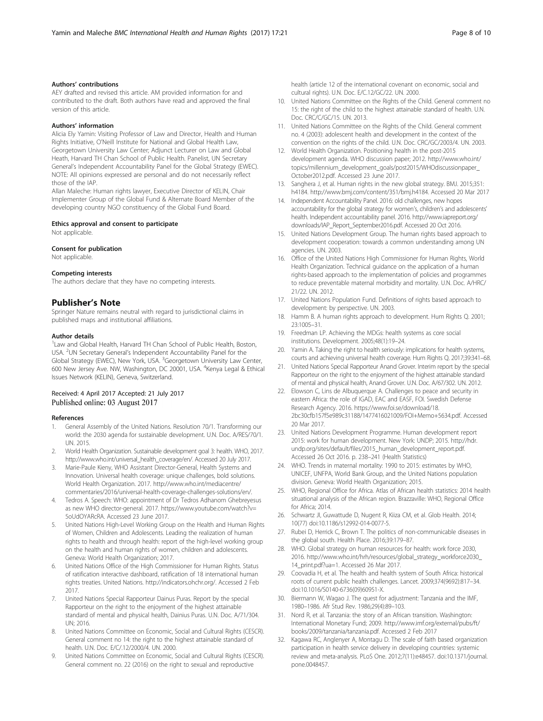#### <span id="page-7-0"></span>Authors' contributions

AEY drafted and revised this article. AM provided information for and contributed to the draft. Both authors have read and approved the final version of this article.

#### Authors' information

Alicia Ely Yamin: Visiting Professor of Law and Director, Health and Human Rights Initiative, O'Neill Institute for National and Global Health Law, Georgetown University Law Center; Adjunct Lecturer on Law and Global Heath, Harvard TH Chan School of Public Health. Panelist, UN Secretary General's Independent Accountability Panel for the Global Strategy (EWEC). NOTE: All opinions expressed are personal and do not necessarily reflect those of the IAP.

Allan Maleche: Human rights lawyer, Executive Director of KELIN, Chair Implementer Group of the Global Fund & Alternate Board Member of the developing country NGO constituency of the Global Fund Board.

#### Ethics approval and consent to participate

Not applicable.

#### Consent for publication

Not applicable.

#### Competing interests

The authors declare that they have no competing interests.

#### Publisher's Note

Springer Nature remains neutral with regard to jurisdictional claims in published maps and institutional affiliations.

#### Author details

<sup>1</sup> Law and Global Health, Harvard TH Chan School of Public Health, Boston, USA. <sup>2</sup>UN Secretary General's Independent Accountability Panel for the Global Strategy (EWEC), New York, USA. <sup>3</sup>Georgetown University Law Center, 600 New Jersey Ave. NW, Washington, DC 20001, USA. <sup>4</sup> Kenya Legal & Ethical Issues Network (KELIN), Geneva, Switzerland.

#### Received: 4 April 2017 Accepted: 21 July 2017 Published online: 03 August 2017

#### References

- 1. General Assembly of the United Nations. Resolution 70/1. Transforming our world: the 2030 agenda for sustainable development. U.N. Doc. A/RES/70/1. UN. 2015.
- 2. World Health Organization. Sustainable development goal 3: health. WHO, 2017. http://www.who.int/universal\_health\_coverage/en/. Accessed 20 July 2017.
- 3. Marie-Paule Kieny, WHO Assistant Director-General, Health Systems and Innovation. Universal health coverage: unique challenges, bold solutions. World Health Organization. 2017. http://www.who.int/mediacentre/ commentaries/2016/universal-health-coverage-challenges-solutions/en/.
- 4. Tedros A. Speech: WHO: appointment of Dr Tedros Adhanom Ghebreyesus as new WHO director-general. 2017. https://www.youtube.com/watch?v= 5oUdOYARcRA. Accessed 23 June 2017.
- 5. United Nations High-Level Working Group on the Health and Human Rights of Women, Children and Adolescents. Leading the realization of human rights to health and through health: report of the high-level working group on the health and human rights of women, children and adolescents. Geneva: World Health Organization; 2017.
- United Nations Office of the High Commissioner for Human Rights. Status of ratification interactive dashboard, ratification of 18 international human rights treaties. United Nations. http://indicators.ohchr.org/. Accessed 2 Feb 2017.
- 7. United Nations Special Rapporteur Dainus Puras. Report by the special Rapporteur on the right to the enjoyment of the highest attainable standard of mental and physical health, Dainius Puras. U.N. Doc. A/71/304. UN; 2016.
- United Nations Committee on Economic, Social and Cultural Rights (CESCR). General comment no 14: the right to the highest attainable standard of health. U.N. Doc. E/C/.12/2000/4. UN. 2000.
- United Nations Committee on Economic, Social and Cultural Rights (CESCR). General comment no. 22 (2016) on the right to sexual and reproductive

health (article 12 of the international covenant on economic, social and cultural rights). U.N. Doc. E/C.12/GC/22. UN. 2000.

- 10. United Nations Committee on the Rights of the Child. General comment no 15: the right of the child to the highest attainable standard of health. U.N. Doc. CRC/C/GC/15. UN. 2013.
- 11. United Nations Committee on the Rights of the Child. General comment no. 4 (2003): adolescent health and development in the context of the convention on the rights of the child. U.N. Doc. CRC/GC/2003/4. UN. 2003.
- 12. World Health Organization. Positioning health in the post-2015 development agenda. WHO discussion paper; 2012. http://www.who.int/ topics/millennium\_development\_goals/post2015/WHOdiscussionpaper\_ October2012.pdf. Accessed 23 June 2017.
- 13. Sanghera J, et al. Human rights in the new global strategy. BMJ. 2015;351: h4184. http://www.bmj.com/content/351/bmj.h4184. Accessed 20 Mar 2017
- 14. Independent Accountability Panel. 2016: old challenges, new hopes accountability for the global strategy for women's, children's and adolescents' health. Independent accountability panel. 2016. http://www.iapreport.org/ downloads/IAP\_Report\_September2016.pdf. Accessed 20 Oct 2016.
- 15. United Nations Development Group. The human rights based approach to development cooperation: towards a common understanding among UN agencies. UN. 2003.
- 16. Office of the United Nations High Commissioner for Human Rights, World Health Organization. Technical guidance on the application of a human rights-based approach to the implementation of policies and programmes to reduce preventable maternal morbidity and mortality. U.N. Doc. A/HRC/ 21/22. UN. 2012.
- 17. United Nations Population Fund. Definitions of rights based approach to development: by perspective. UN. 2003.
- 18. Hamm B. A human rights approach to development. Hum Rights Q. 2001; 23:1005–31.
- 19. Freedman LP. Achieving the MDGs: health systems as core social institutions. Development. 2005;48(1):19–24.
- 20. Yamin A. Taking the right to health seriously: implications for health systems, courts and achieving universal health coverage. Hum Rights Q. 2017;39:341–68.
- 21. United Nations Special Rapporteur Anand Grover. Interim report by the special Rapporteur on the right to the enjoyment of the highest attainable standard of mental and physical health, Anand Grover. U.N. Doc. A/67/302. UN. 2012.
- 22. Elowson C, Lins de Albuquerque A. Challenges to peace and security in eastern Africa: the role of IGAD, EAC and EASF, FOI. Swedish Defense Research Agency. 2016. https://www.foi.se/download/18. 2bc30cfb157f5e989c31188/1477416021009/FOI+Memo+5634.pdf. Accessed 20 Mar 2017.
- 23. United Nations Development Programme. Human development report 2015: work for human development. New York: UNDP; 2015. http://hdr. undp.org/sites/default/files/2015\_human\_development\_report.pdf. Accessed 26 Oct 2016. p. 238–241 (Health Statistics)
- 24. WHO. Trends in maternal mortality: 1990 to 2015: estimates by WHO, UNICEF, UNFPA, World Bank Group, and the United Nations population division. Geneva: World Health Organization; 2015.
- 25. WHO, Regional Office for Africa. Atlas of African health statistics: 2014 health situational analysis of the African region. Brazzaville: WHO, Regional Office for Africa; 2014.
- 26. Schwartz JI, Guwattude D, Nugent R, Kiiza CM, et al. Glob Health. 2014; 10(77) doi:10.1186/s12992-014-0077-5.
- 27. Rubei D, Herrick C, Brown T. The politics of non-communicable diseases in the global south. Health Place. 2016;39:179–87.
- 28. WHO. Global strategy on human resources for health: work force 2030, 2016. http://www.who.int/hrh/resources/global\_strategy\_workforce2030\_ 14\_print.pdf?ua=1. Accessed 26 Mar 2017.
- 29. Coovadia H, et al. The health and health system of South Africa: historical roots of current public health challenges. Lancet. 2009;374(9692):817–34. doi:10.1016/S0140-6736(09)60951-X.
- 30. Biermann W, Wagao J. The quest for adjustment: Tanzania and the IMF, 1980–1986. Afr Stud Rev. 1986;29(4):89–103.
- 31. Nord R, et al. Tanzania: the story of an African transition. Washington: International Monetary Fund; 2009. http://www.imf.org/external/pubs/ft/ books/2009/tanzania/tanzania.pdf. Accessed 2 Feb 2017
- 32. Kagawa RC, Anglenyer A, Montagu D. The scale of faith based organization participation in health service delivery in developing countries: systemic review and meta-analysis. PLoS One. 2012;7(11):e48457. doi:10.1371/journal. pone.0048457.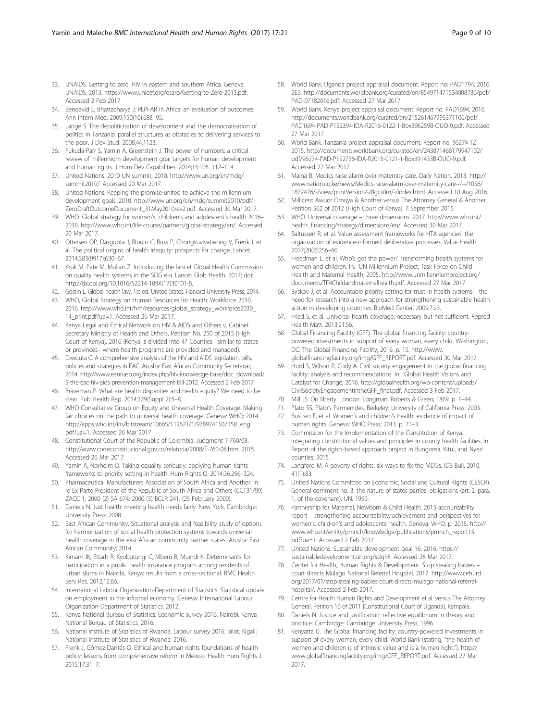- <span id="page-8-0"></span>33. UNAIDS. Getting to zero: HIV in eastern and southern Africa. Geneva: UNAIDS; 2013. https://www.unicef.org/esaro/Getting-to-Zero-2013.pdf. Accessed 2 Feb 2017
- 34. Bendavid E, Bhattacharya J. PEPFAR in Africa: an evaluation of outcomes. Ann Intern Med. 2009;150(10):688–95.
- 35. Lange S. The depoliticisation of development and the democratisation of politics in Tanzania: parallel structures as obstacles to delivering services to the poor. J Dev Stud. 2008;44:1123.
- 36. Fukuda-Parr S, Yamin A, Greenstein J. The power of numbers: a critical review of millennium development goal targets for human development and human rights. J Hum Dev Capabilities. 2014;15:105. 112–114
- 37. United Nations. 2010 UN summit, 2010. http://www.un.org/en/mdg/ summit2010/. Accessed 20 Mar 2017.
- 38. United Nations. Keeping the promise-united to achieve the millennium development goals, 2010. http://www.un.org/en/mdg/summit2010/pdf/ ZeroDraftOutcomeDocument\_31May2010rev2.pdf. Accessed 30 Mar 2017.
- 39. WHO. Global strategy for women's, children's and adolescent's health 2016– 2030. http://www.who.int/life-course/partners/global-strategy/en/. Accessed 20 Mar 2017.
- 40. Ottersen OP, Dasgupta J, Blouin C, Buss P, Chongsuvivatwong V, Frenk J, et al. The political origins of health inequity: prospects for change. Lancet. 2014;383(9917):630–67.
- 41. Kruk M, Pate M, Mullan Z. Introducing the lancet Global Health Commission on quality health systems in the SDG era. Lancet Glob Health. 2017; doi: http://dx.doi.org/10.1016/S2214-109X(17)30101-8.
- 42. Gostin L. Global health law. 1st ed. United States: Harvard University Press; 2014.
- 43. WHO, Global Strategy on Human Resources for Health: Workforce 2030, 2016. http://www.who.int/hrh/resources/global\_strategy\_workforce2030\_ 14\_print.pdf?ua=1. Accessed 26 Mar 2017.
- 44. Kenya Legal and Ethical Network on HIV & AIDS and Others v. Cabinet Secretary Ministry of Health and Others, Petition No. 250 of 2015 [High Court of Kenya], 2016 (Kenya is divided into 47 Counties –similar to states or provinces– where health programs are provided and managed).
- 45. Diwouta C. A comprehensive analysis of the HIV and AIDS legislation, bills, policies and strategies in EAC. Arusha: East African Community Secretariat; 2014. http://www.eannaso.org/index.php/hiv-knowledge-base/doc\_download/ 5-the-eac-hiv-aids-prevention-management-bill-2012. Accessed 2 Feb 2017
- 46. Braveman P. What are health disparities and health equity? We need to be clear. Pub Health Rep. 2014;129(Suppl 2):5–8.
- 47. WHO Consultative Group on Equity and Universal Health Coverage. Making fair choices on the path to universal health coverage. Geneva: WHO; 2014. http://apps.who.int/iris/bitstream/10665/112671/1/9789241507158\_eng. pdf?ua=1. Accessed 26 Mar 2017
- 48. Constitutional Court of the Republic of Colombia, Judgment T-760/08. http://www.corteconstitucional.gov.co/relatoria/2008/T-760-08.htm. 2015. Accessed 26 Mar 2017.
- Yamin A, Norheim O. Taking equality seriously: applying human rights frameworks to priority setting in health. Hum Rights Q. 2014;36:296–324.
- 50. Pharmaceutical Manufacturers Association of South Africa and Another: In re Ex Parte President of the Republic of South Africa and Others (CCT31/99) ZACC 1; 2000 (2) SA 674; 2000 (3) BCLR 241. (25 February 2000).
- 51. Daniels N. Just health: meeting health needs fairly. New York, Cambridge: University Press; 2008.
- 52. East African Community. Situational analysis and feasibility study of options for harmonization of social health protection systems towards universal health coverage in the east African community partner states. Arusha: East African Community; 2014.
- 53. Kimani JK, Ettarh R, Kyobutungi C, Mberu B, Muindi K. Determinants for participation in a public health insurance program among residents of urban slums in Nairobi, Kenya: results from a cross-sectional. BMC Health Serv Res. 2012;12:66.
- 54. International Labour Organization-Department of Statistics. Statistical update on employment in the informal economy. Geneva: International Labour Organization-Department of Statistics; 2012.
- 55. Kenya National Bureau of Statistics. Economic survey 2016. Nairobi: Kenya National Bureau of Statistics; 2016.
- 56. National Institute of Statistics of Rwanda. Labour survey 2016: pilot. Kigali: National Institute of Statistics of Rwanda; 2016.
- 57. Frenk J, Gómez-Dantés O. Ethical and human rights foundations of health policy: lessons from comprehensive reform in Mexico. Health Hum Rights J. 2015;17:31–7.
- 58. World Bank. Uganda project appraisal document. Report no: PAD1794; 2016. 2E5. http://documents.worldbank.org/curated/en/854971471534008736/pdf/ PAD-07182016.pdf. Accessed 27 Mar 2017.
- 59. World Bank. Kenya project appraisal document. Report no: PAD1694; 2016. http://documents.worldbank.org/curated/en/215261467995371106/pdf/ PAD1694-PAD-P152394-IDA-R2016-0122-1-Box396259B-OUO-9.pdf. Accessed 27 Mar 2017.
- 60. World Bank. Tanzania project appraisal document. Report no: 96274-TZ 2015. http://documents.worldbank.org/curated/en/243871468179947102/ pdf/96274-PAD-P152736-IDA-R2015-0121-1-Box391433B-OUO-9.pdf. Accessed 27 Mar 2017.
- 61. Maina B. Medics raise alarm over maternity care. Daily Nation. 2013. http:// www.nation.co.ke/news/Medics-raise-alarm-over-maternity-care−/−/1056/ 1872476/-/view/printVersion/-/8gcs0m/-/index.html. Accessed 10 Aug 2016.
- 62. Millicent Awuor Omuya & Another versus The Attorney General & Another, Petition 562 of 2012 [High Court of Kenya], 7 September 2015.
- 63. WHO. Universal coverage three dimensions. 2017. http://www.who.int/ health\_financing/strategy/dimensions/en/. Accessed 30 Mar 2017.
- 64. Baltussen R, et al. Value assessment frameworks for HTA agencies: the organization of evidence-informed deliberative processes. Value Health. 2017;20(2):256–60.
- 65. Freedman L, et al. Who's got the power? Transforming health systems for women and children. In: UN Millennium Project, Task Force on Child Health and Maternal Health; 2005. http://www.unmillenniumproject.org/ documents/TF4Childandmaternalhealth.pdf. Accessed 27 Mar 2017.
- 66. Byskov J, et al. Accountable priority setting for trust in health systems—the need for research into a new approach for strengthening sustainable health action in developing countries. BioMed Center. 2009;7:23.
- 67. Fried S, et al. Universal health coverage: necessary but not sufficient. Reprod Health Matt. 2013;21:56.
- 68. Global Financing Facility (GFF). The global financing facility: countrypowered investments in support of every woman, every child. Washington, DC: The Global Financing Facility; 2016. p. 15. http://www. globalfinancingfacility.org/img/GFF\_REPORT.pdf. Accessed 30 Mar 2017
- 69. Hurd S, Wilson R, Cody A. Civil society engagement in the global financing facility: analysis and recommendations. In: Global Health Visions and Catalyst for Change; 2016. http://globalhealth.org/wp-content/uploads/ CivilSocietyEngagementintheGFF\_final.pdf. Accessed 3 Feb 2017.
- 70. Mill JS. On liberty. London: Longman, Roberts & Green; 1869. p. 1–44.
- 71. Plato SS. Plato's Parmenides. Berkeley: University of California Press; 2003.
- 72. Bustreo F, et al. Women's and children's health: evidence of impact of human rights. Geneva: WHO Press; 2013. p. 71–3.
- 73. Commission for the Implementation of the Constitution of Kenya. Integrating constitutional values and principles in county health facilities. In: Report of the rights-based approach project in Bungoma, Kitui, and Nyeri counties; 2015.
- 74. Langford M. A poverty of rights: six ways to fix the MDGs. IDS Bull. 2010; 41(1):83.
- 75. United Nations Committee on Economic, Social and Cultural Rights (CESCR). General comment no. 3: the nature of states parties' obligations (art. 2, para. 1, of the covenant). UN. 1990.
- 76. Partnership for Maternal, Newborn & Child Health. 2015 accountability report – strengthening accountability: achievement and perspectives for women's, children's and adolescents' health. Geneva: WHO. p. 2015. http:// www.who.int/entity/pmnch/knowledge/publications/pmnch\_report15. pdf?ua=1. Accessed 2 Feb 2017
- 77. United Nations. Sustainable development goal 16. 2016. https:// sustainabledevelopment.un.org/sdg16. Accessed 26 Mar 2017.
- 78. Center for Health, Human Rights & Development. Stop stealing babies court directs Mulago National Referral Hospital. 2017. http://www.cehurd. org/2017/01/stop-stealing-babies-court-directs-mulago-national-referralhospital/. Accessed 2 Feb 2017.
- 79. Centre for Health Human Rights and Development et al. versus The Attorney General, Petition 16 of 2011 [Constitutional Court of Uganda], Kampala.
- 80. Daniels N. Justice and justification: reflective equilibrium in theory and practice. Cambridge: Cambridge University Press; 1996.
- 81. Kenyatta U. The Global financing facility: country-powered investments in support of every woman, every child. World Bank (stating, "the health of women and children is of intrinsic value and is a human right."). http:// www.globalfinancingfacility.org/img/GFF\_REPORT.pdf. Accessed 27 Mar 2017.